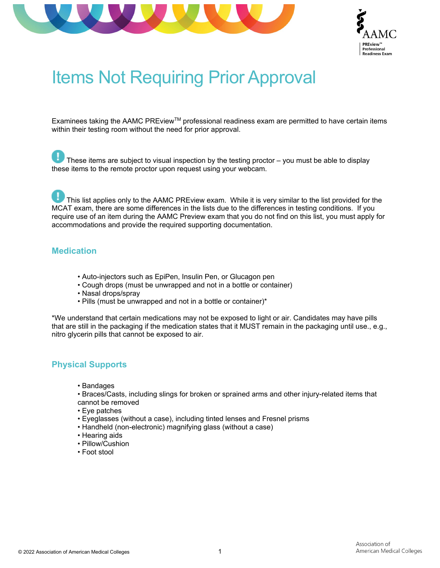



# Items Not Requiring Prior Approval

Examinees taking the AAMC PREview™ professional readiness exam are permitted to have certain items within their testing room without the need for prior approval.

These items are subject to visual inspection by the testing proctor – you must be able to display these items to the remote proctor upon request using your webcam.

This list applies only to the AAMC PREview exam. While it is very similar to the list provided for the MCAT exam, there are some differences in the lists due to the differences in testing conditions. If you require use of an item during the AAMC Preview exam that you do not find on this list, you must apply for accommodations and provide the required supporting documentation.

#### **Medication**

- Auto-injectors such as EpiPen, Insulin Pen, or Glucagon pen
- Cough drops (must be unwrapped and not in a bottle or container)
- Nasal drops/spray
- Pills (must be unwrapped and not in a bottle or container)\*

\*We understand that certain medications may not be exposed to light or air. Candidates may have pills that are still in the packaging if the medication states that it MUST remain in the packaging until use., e.g., nitro glycerin pills that cannot be exposed to air.

#### **Physical Supports**

- Bandages
- Braces/Casts, including slings for broken or sprained arms and other injury-related items that cannot be removed
- Eye patches
- Eyeglasses (without a case), including tinted lenses and Fresnel prisms
- Handheld (non-electronic) magnifying glass (without a case)
- Hearing aids
- Pillow/Cushion
- Foot stool